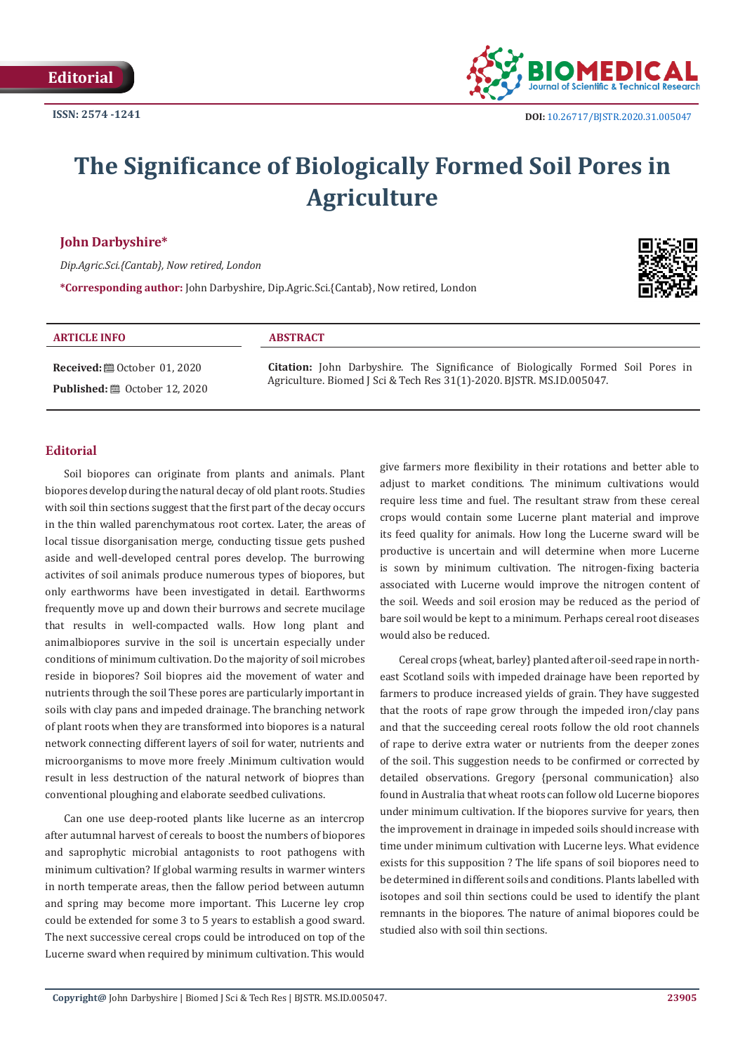

# **The Significance of Biologically Formed Soil Pores in Agriculture**

### **John Darbyshire\***

*Dip.Agric.Sci.{Cantab}, Now retired, London*

**\*Corresponding author:** John Darbyshire, Dip.Agric.Sci.{Cantab}, Now retired, London



#### **ARTICLE INFO ABSTRACT**

**Received:** ■ October 01, 2020 **Published:** ■ October 12, 2020 **Citation:** John Darbyshire. The Significance of Biologically Formed Soil Pores in Agriculture. Biomed J Sci & Tech Res 31(1)-2020. BJSTR. MS.ID.005047.

#### **Editorial**

Soil biopores can originate from plants and animals. Plant biopores develop during the natural decay of old plant roots. Studies with soil thin sections suggest that the first part of the decay occurs in the thin walled parenchymatous root cortex. Later, the areas of local tissue disorganisation merge, conducting tissue gets pushed aside and well-developed central pores develop. The burrowing activites of soil animals produce numerous types of biopores, but only earthworms have been investigated in detail. Earthworms frequently move up and down their burrows and secrete mucilage that results in well-compacted walls. How long plant and animalbiopores survive in the soil is uncertain especially under conditions of minimum cultivation. Do the majority of soil microbes reside in biopores? Soil biopres aid the movement of water and nutrients through the soil These pores are particularly important in soils with clay pans and impeded drainage. The branching network of plant roots when they are transformed into biopores is a natural network connecting different layers of soil for water, nutrients and microorganisms to move more freely .Minimum cultivation would result in less destruction of the natural network of biopres than conventional ploughing and elaborate seedbed culivations.

Can one use deep-rooted plants like lucerne as an intercrop after autumnal harvest of cereals to boost the numbers of biopores and saprophytic microbial antagonists to root pathogens with minimum cultivation? If global warming results in warmer winters in north temperate areas, then the fallow period between autumn and spring may become more important. This Lucerne ley crop could be extended for some 3 to 5 years to establish a good sward. The next successive cereal crops could be introduced on top of the Lucerne sward when required by minimum cultivation. This would

give farmers more flexibility in their rotations and better able to adjust to market conditions. The minimum cultivations would require less time and fuel. The resultant straw from these cereal crops would contain some Lucerne plant material and improve its feed quality for animals. How long the Lucerne sward will be productive is uncertain and will determine when more Lucerne is sown by minimum cultivation. The nitrogen-fixing bacteria associated with Lucerne would improve the nitrogen content of the soil. Weeds and soil erosion may be reduced as the period of bare soil would be kept to a minimum. Perhaps cereal root diseases would also be reduced.

Cereal crops {wheat, barley} planted after oil-seed rape in northeast Scotland soils with impeded drainage have been reported by farmers to produce increased yields of grain. They have suggested that the roots of rape grow through the impeded iron/clay pans and that the succeeding cereal roots follow the old root channels of rape to derive extra water or nutrients from the deeper zones of the soil. This suggestion needs to be confirmed or corrected by detailed observations. Gregory {personal communication} also found in Australia that wheat roots can follow old Lucerne biopores under minimum cultivation. If the biopores survive for years, then the improvement in drainage in impeded soils should increase with time under minimum cultivation with Lucerne leys. What evidence exists for this supposition ? The life spans of soil biopores need to be determined in different soils and conditions. Plants labelled with isotopes and soil thin sections could be used to identify the plant remnants in the biopores. The nature of animal biopores could be studied also with soil thin sections.